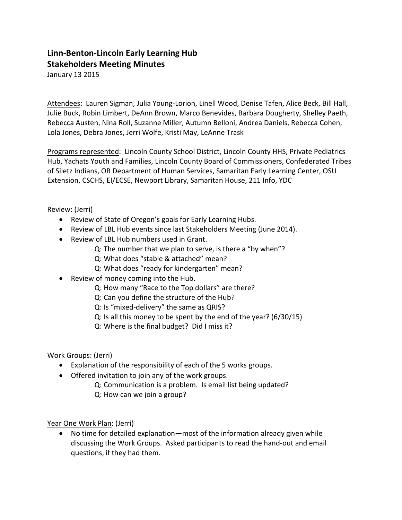## **Linn-Benton-Lincoln Early Learning Hub Stakeholders Meeting Minutes**

January 13 2015

Attendees: Lauren Sigman, Julia Young-Lorion, Linell Wood, Denise Tafen, Alice Beck, Bill Hall, Julie Buck, Robin Limbert, DeAnn Brown, Marco Benevides, Barbara Dougherty, Shelley Paeth, Rebecca Austen, Nina Roll, Suzanne Miller, Autumn Belloni, Andrea Daniels, Rebecca Cohen, Lola Jones, Debra Jones, Jerri Wolfe, Kristi May, LeAnne Trask

Programs represented: Lincoln County School District, Lincoln County HHS, Private Pediatrics Hub, Yachats Youth and Families, Lincoln County Board of Commissioners, Confederated Tribes of Siletz Indians, OR Department of Human Services, Samaritan Early Learning Center, OSU Extension, CSCHS, EI/ECSE, Newport Library, Samaritan House, 211 Info, YDC

Review: (Jerri)

- Review of State of Oregon's goals for Early Learning Hubs.
- Review of LBL Hub events since last Stakeholders Meeting (June 2014).
- Review of LBL Hub numbers used in Grant.
	- Q: The number that we plan to serve, is there a "by when"?
	- Q: What does "stable & attached" mean?
	- Q: What does "ready for kindergarten" mean?
- Review of money coming into the Hub.
	- Q: How many "Race to the Top dollars" are there?
	- Q: Can you define the structure of the Hub?
	- Q: Is "mixed-delivery" the same as QRIS?
	- Q: Is all this money to be spent by the end of the year? (6/30/15)
	- Q: Where is the final budget? Did I miss it?

Work Groups: (Jerri)

- Explanation of the responsibility of each of the 5 works groups.
- Offered invitation to join any of the work groups.
	- Q: Communication is a problem. Is email list being updated? Q: How can we join a group?

Year One Work Plan: (Jerri)

• No time for detailed explanation—most of the information already given while discussing the Work Groups. Asked participants to read the hand-out and email questions, if they had them.